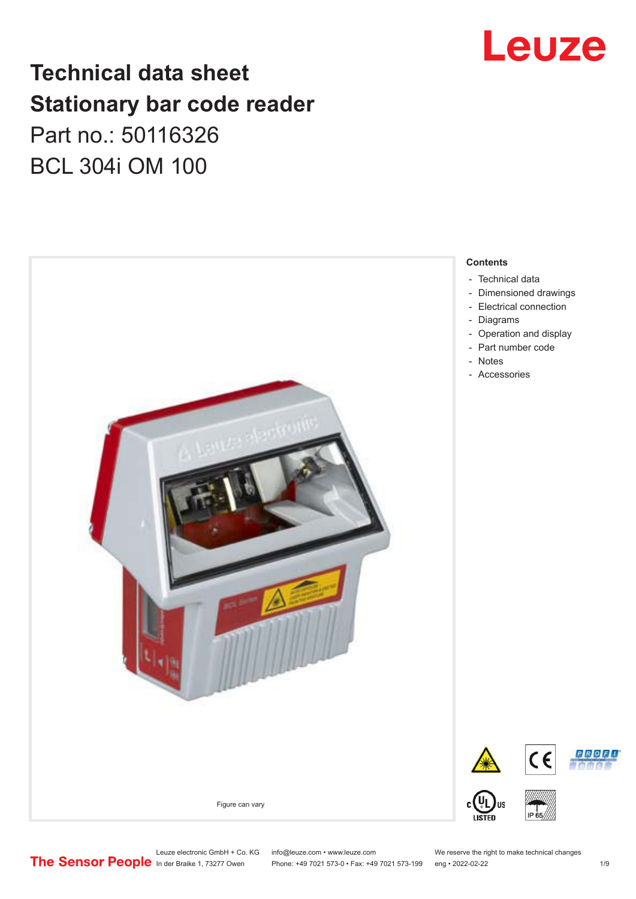

## **Technical data sheet Stationary bar code reader** Part no.: 50116326 BCL 304i OM 100



Leuze electronic GmbH + Co. KG info@leuze.com • www.leuze.com We reserve the right to make technical changes<br>
The Sensor People in der Braike 1, 73277 Owen Phone: +49 7021 573-0 • Fax: +49 7021 573-199 eng • 2022-02-22

Phone: +49 7021 573-0 • Fax: +49 7021 573-199 eng • 2022-02-22 1 /9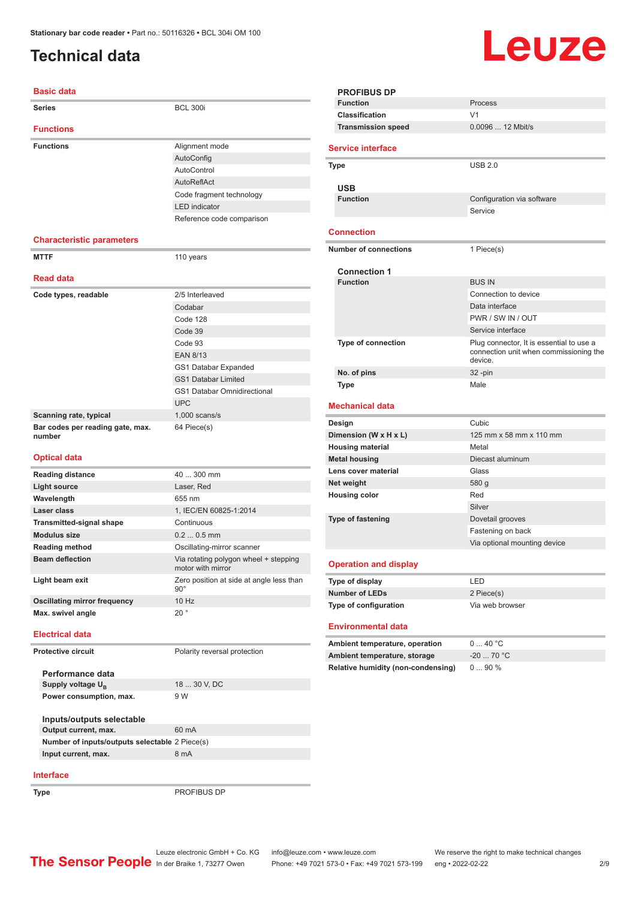### <span id="page-1-0"></span>**Technical data**

#### **Basic data**

| <b>Series</b>                              | <b>BCL 300i</b>                    |
|--------------------------------------------|------------------------------------|
| <b>Functions</b>                           |                                    |
| <b>Functions</b>                           | Alignment mode                     |
|                                            | AutoConfig                         |
|                                            | AutoControl                        |
|                                            | AutoReflAct                        |
|                                            | Code fragment technology           |
|                                            | <b>LED</b> indicator               |
|                                            | Reference code comparison          |
|                                            |                                    |
| <b>Characteristic parameters</b>           |                                    |
| <b>MTTF</b>                                | 110 years                          |
| <b>Read data</b>                           |                                    |
| Code types, readable                       | 2/5 Interleaved                    |
|                                            | Codabar                            |
|                                            | Code 128                           |
|                                            | Code 39                            |
|                                            | Code 93                            |
|                                            | <b>EAN 8/13</b>                    |
|                                            | GS1 Databar Expanded               |
|                                            | <b>GS1 Databar Limited</b>         |
|                                            | <b>GS1 Databar Omnidirectional</b> |
|                                            | <b>UPC</b>                         |
| Scanning rate, typical                     | $1,000$ scans/s                    |
| Bar codes per reading gate, max.<br>number | 64 Piece(s)                        |

#### **Optical data**

| <b>Reading distance</b>         | $40300$ mm                                                 |
|---------------------------------|------------------------------------------------------------|
| <b>Light source</b>             | Laser, Red                                                 |
| Wavelength                      | 655 nm                                                     |
| Laser class                     | 1, IEC/EN 60825-1:2014                                     |
| <b>Transmitted-signal shape</b> | Continuous                                                 |
| <b>Modulus size</b>             | $0.20.5$ mm                                                |
| <b>Reading method</b>           | Oscillating-mirror scanner                                 |
| <b>Beam deflection</b>          | Via rotating polygon wheel + stepping<br>motor with mirror |
| Light beam exit                 | Zero position at side at angle less than<br>$90^\circ$     |
| Oscillating mirror frequency    | 10 Hz                                                      |
| Max. swivel angle               | $20^{\circ}$                                               |
| _ _ _ _ _ _                     |                                                            |

### **Electrical data**

**Protective circuit** Polarity reversal protection

| Performance data              |              |
|-------------------------------|--------------|
| Supply voltage U <sub>p</sub> | 18  30 V, DC |
| Power consumption, max.       | 9 W          |
|                               |              |
| Inputs/outputs selectable     |              |
| Output current, max.          | 60 mA        |

| Number of inputs/outputs selectable 2 Piece(s) |      |
|------------------------------------------------|------|
| Input current, max.                            | 8 mA |
|                                                |      |

#### **Interface**

**Type** PROFIBUS DP

|--|--|

| <b>PROFIBUS DP</b>                     |                                                                                               |
|----------------------------------------|-----------------------------------------------------------------------------------------------|
| <b>Function</b>                        | Process                                                                                       |
| Classification                         | V <sub>1</sub>                                                                                |
| <b>Transmission speed</b>              | 0.0096  12 Mbit/s                                                                             |
|                                        |                                                                                               |
| <b>Service interface</b>               |                                                                                               |
| Type                                   | <b>USB 2.0</b>                                                                                |
|                                        |                                                                                               |
| <b>USB</b><br><b>Function</b>          |                                                                                               |
|                                        | Configuration via software<br>Service                                                         |
|                                        |                                                                                               |
| <b>Connection</b>                      |                                                                                               |
| <b>Number of connections</b>           | 1 Piece(s)                                                                                    |
|                                        |                                                                                               |
| <b>Connection 1</b><br><b>Function</b> | <b>BUS IN</b>                                                                                 |
|                                        | Connection to device                                                                          |
|                                        | Data interface                                                                                |
|                                        | PWR / SW IN / OUT                                                                             |
|                                        | Service interface                                                                             |
| <b>Type of connection</b>              |                                                                                               |
|                                        | Plug connector, It is essential to use a<br>connection unit when commissioning the<br>device. |
| No. of pins                            | $32 - pin$                                                                                    |
| <b>Type</b>                            | Male                                                                                          |
|                                        |                                                                                               |
| <b>Mechanical data</b>                 |                                                                                               |
| Design                                 | Cubic                                                                                         |
| Dimension (W x H x L)                  | 125 mm x 58 mm x 110 mm                                                                       |
| <b>Housing material</b>                | Metal                                                                                         |
| <b>Metal housing</b>                   | Diecast aluminum                                                                              |
| Lens cover material                    | Glass                                                                                         |
| Net weight                             | 580 g                                                                                         |
| <b>Housing color</b>                   | Red                                                                                           |
|                                        | Silver                                                                                        |
| <b>Type of fastening</b>               | Dovetail grooves                                                                              |
|                                        | Fastening on back                                                                             |
|                                        | Via optional mounting device                                                                  |
| <b>Operation and display</b>           |                                                                                               |
| Type of display                        | LED                                                                                           |
| <b>Number of LEDs</b>                  | 2 Piece(s)                                                                                    |
| Type of configuration                  | Via web browser                                                                               |
| <b>Environmental data</b>              |                                                                                               |
| Ambient temperature, operation         | 040 °C                                                                                        |
| Ambient temperature, storage           | $-20$ 70 °C                                                                                   |
| Relative humidity (non-condensing)     | 090%                                                                                          |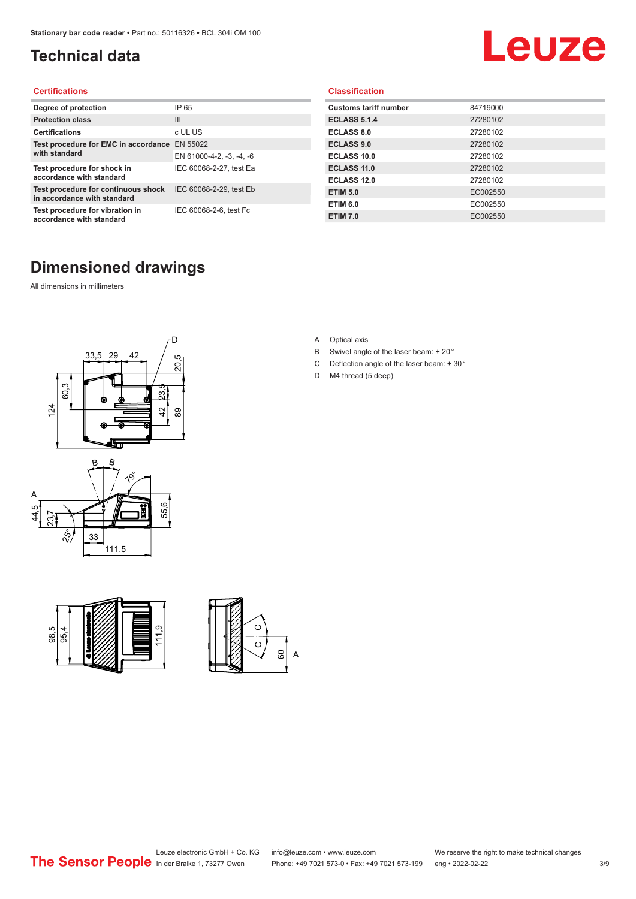### <span id="page-2-0"></span>**Technical data**

# Leuze

#### **Certifications**

| Degree of protection                                               | IP 65                    |
|--------------------------------------------------------------------|--------------------------|
| <b>Protection class</b>                                            | $\mathbf{III}$           |
| <b>Certifications</b>                                              | c UL US                  |
| Test procedure for EMC in accordance<br>with standard              | EN 55022                 |
|                                                                    | EN 61000-4-2, -3, -4, -6 |
| Test procedure for shock in<br>accordance with standard            | IEC 60068-2-27, test Ea  |
| Test procedure for continuous shock<br>in accordance with standard | IEC 60068-2-29, test Eb  |
| Test procedure for vibration in<br>accordance with standard        | IEC 60068-2-6, test Fc   |

#### **Classification**

| <b>Customs tariff number</b> | 84719000 |
|------------------------------|----------|
| <b>ECLASS 5.1.4</b>          | 27280102 |
| <b>ECLASS 8.0</b>            | 27280102 |
| <b>ECLASS 9.0</b>            | 27280102 |
| ECLASS 10.0                  | 27280102 |
| ECLASS 11.0                  | 27280102 |
| ECLASS 12.0                  | 27280102 |
| <b>ETIM 5.0</b>              | EC002550 |
| <b>ETIM 6.0</b>              | EC002550 |
| <b>ETIM 7.0</b>              | EC002550 |

### **Dimensioned drawings**

All dimensions in millimeters









- B Swivel angle of the laser beam: ± 20 °
- C Deflection angle of the laser beam:  $\pm$  30 $^{\circ}$
- D M4 thread (5 deep)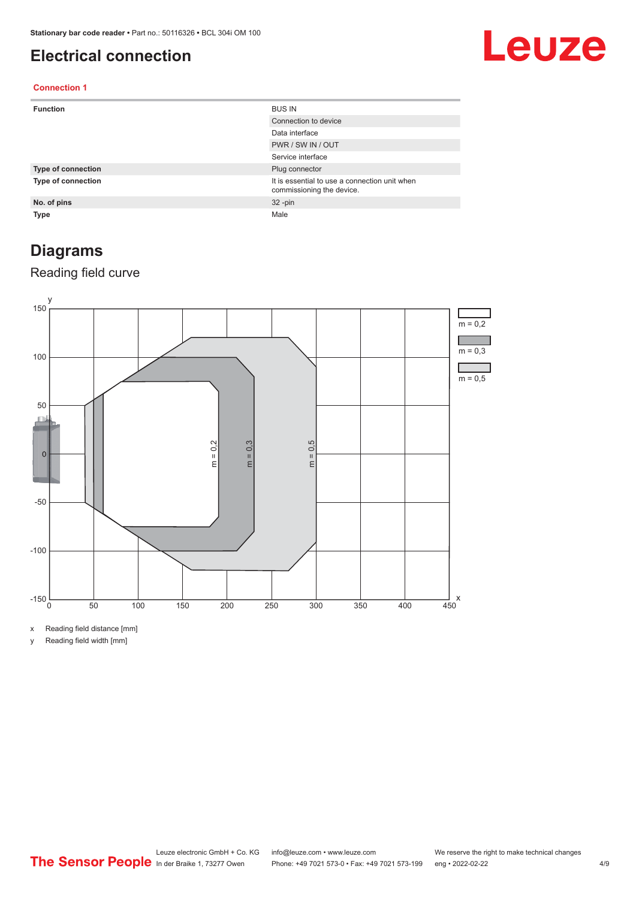### <span id="page-3-0"></span>**Electrical connection**

## Leuze

### **Connection 1**

| <b>Function</b>           | <b>BUS IN</b>                                                              |
|---------------------------|----------------------------------------------------------------------------|
|                           | Connection to device                                                       |
|                           | Data interface                                                             |
|                           | PWR / SW IN / OUT                                                          |
|                           | Service interface                                                          |
| <b>Type of connection</b> | Plug connector                                                             |
| <b>Type of connection</b> | It is essential to use a connection unit when<br>commissioning the device. |
| No. of pins               | $32 - pin$                                                                 |
| <b>Type</b>               | Male                                                                       |

### **Diagrams**

### Reading field curve



x Reading field distance [mm]

y Reading field width [mm]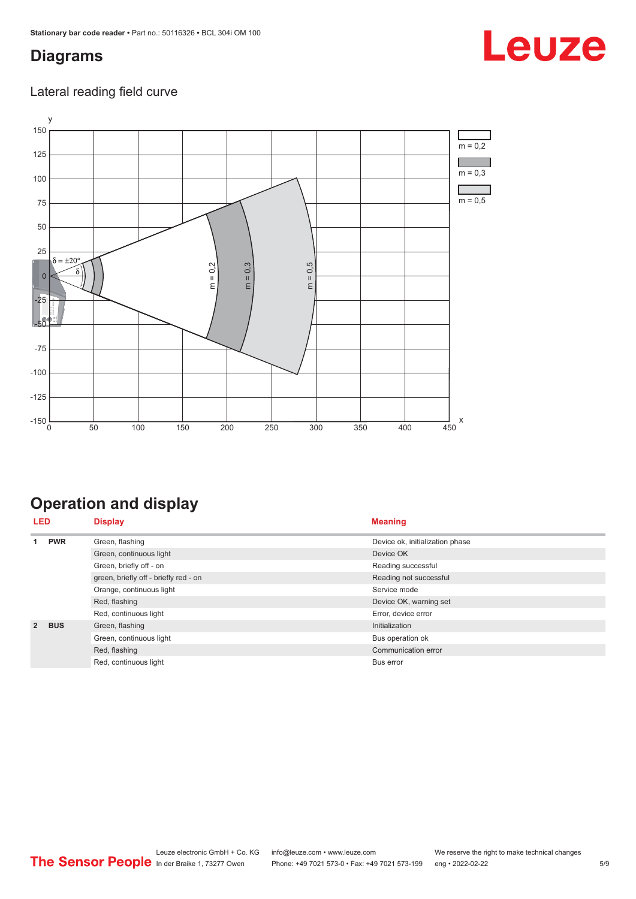### <span id="page-4-0"></span>**Diagrams**

### Lateral reading field curve



## **Operation and display**

| <b>LED</b>     |            | <b>Display</b>                        | <b>Meaning</b>                  |
|----------------|------------|---------------------------------------|---------------------------------|
| 4              | <b>PWR</b> | Green, flashing                       | Device ok, initialization phase |
|                |            | Green, continuous light               | Device OK                       |
|                |            | Green, briefly off - on               | Reading successful              |
|                |            | green, briefly off - briefly red - on | Reading not successful          |
|                |            | Orange, continuous light              | Service mode                    |
|                |            | Red, flashing                         | Device OK, warning set          |
|                |            | Red, continuous light                 | Error, device error             |
| $\overline{2}$ | <b>BUS</b> | Green, flashing                       | Initialization                  |
|                |            | Green, continuous light               | Bus operation ok                |
|                |            | Red, flashing                         | Communication error             |
|                |            | Red, continuous light                 | <b>Bus error</b>                |

## Leuze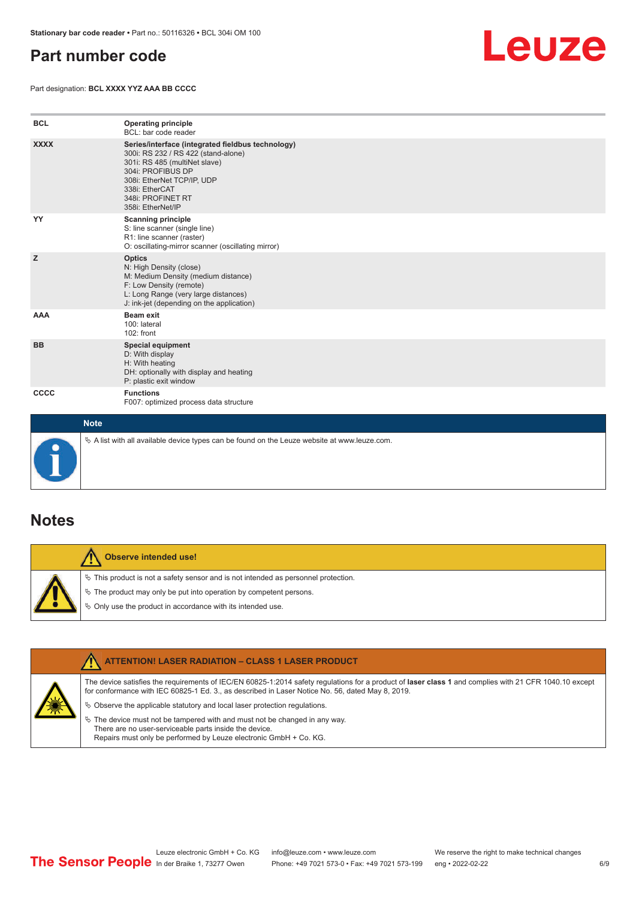### <span id="page-5-0"></span>**Part number code**

Part designation: **BCL XXXX YYZ AAA BB CCCC**



| <b>BCL</b>  | <b>Operating principle</b><br>BCL: bar code reader                                                                                                                                                                                       |
|-------------|------------------------------------------------------------------------------------------------------------------------------------------------------------------------------------------------------------------------------------------|
| <b>XXXX</b> | Series/interface (integrated fieldbus technology)<br>300i: RS 232 / RS 422 (stand-alone)<br>301i: RS 485 (multiNet slave)<br>304i: PROFIBUS DP<br>308i: EtherNet TCP/IP, UDP<br>338i: EtherCAT<br>348i: PROFINET RT<br>358i: EtherNet/IP |
| YY          | <b>Scanning principle</b><br>S: line scanner (single line)<br>R1: line scanner (raster)<br>O: oscillating-mirror scanner (oscillating mirror)                                                                                            |
| z           | <b>Optics</b><br>N: High Density (close)<br>M: Medium Density (medium distance)<br>F: Low Density (remote)<br>L: Long Range (very large distances)<br>J: ink-jet (depending on the application)                                          |
| AAA         | Beam exit<br>100: lateral<br>102: front                                                                                                                                                                                                  |
| <b>BB</b>   | <b>Special equipment</b><br>D: With display<br>H: With heating<br>DH: optionally with display and heating<br>P: plastic exit window                                                                                                      |
| cccc        | <b>Functions</b><br>F007: optimized process data structure                                                                                                                                                                               |
| <b>Note</b> |                                                                                                                                                                                                                                          |



 $\%$  A list with all available device types can be found on the Leuze website at www.leuze.com.

### **Notes**

**Observe intended use!** Λ  $\%$  This product is not a safety sensor and is not intended as personnel protection.  $\%$  The product may only be put into operation by competent persons.  $\%$  Only use the product in accordance with its intended use.

|  | <b>ATTENTION! LASER RADIATION - CLASS 1 LASER PRODUCT</b>                                                                                                                                                                                                  |
|--|------------------------------------------------------------------------------------------------------------------------------------------------------------------------------------------------------------------------------------------------------------|
|  | The device satisfies the requirements of IEC/EN 60825-1:2014 safety regulations for a product of laser class 1 and complies with 21 CFR 1040.10 except<br>for conformance with IEC 60825-1 Ed. 3., as described in Laser Notice No. 56, dated May 8, 2019. |
|  | $\&$ Observe the applicable statutory and local laser protection regulations.                                                                                                                                                                              |
|  | $\%$ The device must not be tampered with and must not be changed in any way.<br>There are no user-serviceable parts inside the device.<br>Repairs must only be performed by Leuze electronic GmbH + Co. KG.                                               |
|  |                                                                                                                                                                                                                                                            |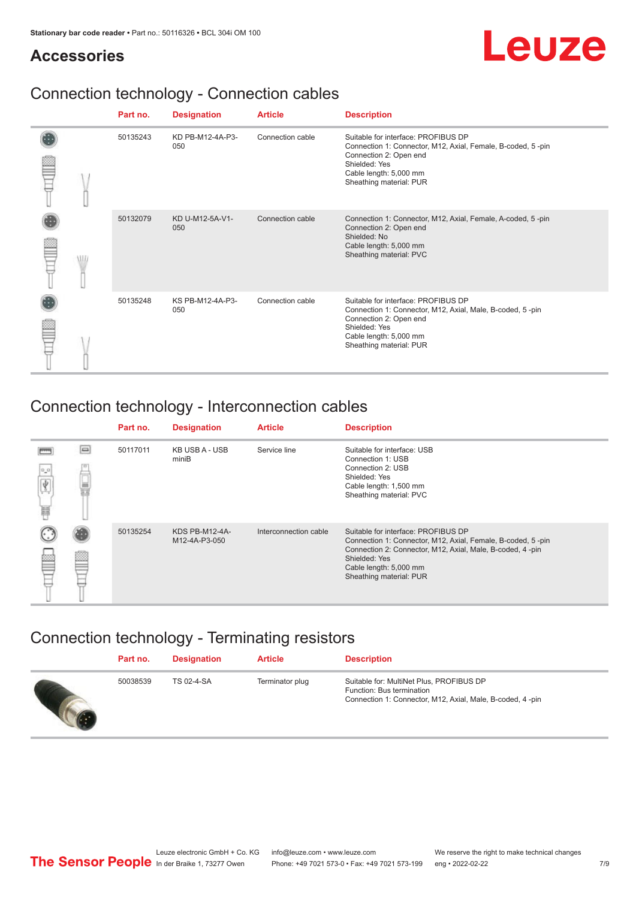### **Accessories**

## Leuze

## Connection technology - Connection cables

|  |  | Part no. | <b>Designation</b>      | <b>Article</b>   | <b>Description</b>                                                                                                                                                                                 |
|--|--|----------|-------------------------|------------------|----------------------------------------------------------------------------------------------------------------------------------------------------------------------------------------------------|
|  |  | 50135243 | KD PB-M12-4A-P3-<br>050 | Connection cable | Suitable for interface: PROFIBUS DP<br>Connection 1: Connector, M12, Axial, Female, B-coded, 5-pin<br>Connection 2: Open end<br>Shielded: Yes<br>Cable length: 5,000 mm<br>Sheathing material: PUR |
|  |  | 50132079 | KD U-M12-5A-V1-<br>050  | Connection cable | Connection 1: Connector, M12, Axial, Female, A-coded, 5-pin<br>Connection 2: Open end<br>Shielded: No<br>Cable length: 5,000 mm<br>Sheathing material: PVC                                         |
|  |  | 50135248 | KS PB-M12-4A-P3-<br>050 | Connection cable | Suitable for interface: PROFIBUS DP<br>Connection 1: Connector, M12, Axial, Male, B-coded, 5-pin<br>Connection 2: Open end<br>Shielded: Yes<br>Cable length: 5,000 mm<br>Sheathing material: PUR   |

### Connection technology - Interconnection cables

|                |          | Part no. | <b>Designation</b>                     | <b>Article</b>        | <b>Description</b>                                                                                                                                                                                                                    |
|----------------|----------|----------|----------------------------------------|-----------------------|---------------------------------------------------------------------------------------------------------------------------------------------------------------------------------------------------------------------------------------|
| $0\,$ $0$<br>扁 | $\equiv$ | 50117011 | KB USB A - USB<br>miniB                | Service line          | Suitable for interface: USB<br>Connection 1: USB<br>Connection 2: USB<br>Shielded: Yes<br>Cable length: 1,500 mm<br>Sheathing material: PVC                                                                                           |
|                |          | 50135254 | <b>KDS PB-M12-4A-</b><br>M12-4A-P3-050 | Interconnection cable | Suitable for interface: PROFIBUS DP<br>Connection 1: Connector, M12, Axial, Female, B-coded, 5-pin<br>Connection 2: Connector, M12, Axial, Male, B-coded, 4-pin<br>Shielded: Yes<br>Cable length: 5,000 mm<br>Sheathing material: PUR |

### Connection technology - Terminating resistors

| Part no. | <b>Designation</b> | <b>Article</b>  | <b>Description</b>                                                                                                                 |
|----------|--------------------|-----------------|------------------------------------------------------------------------------------------------------------------------------------|
| 50038539 | TS 02-4-SA         | Terminator plug | Suitable for: MultiNet Plus, PROFIBUS DP<br>Function: Bus termination<br>Connection 1: Connector, M12, Axial, Male, B-coded, 4-pin |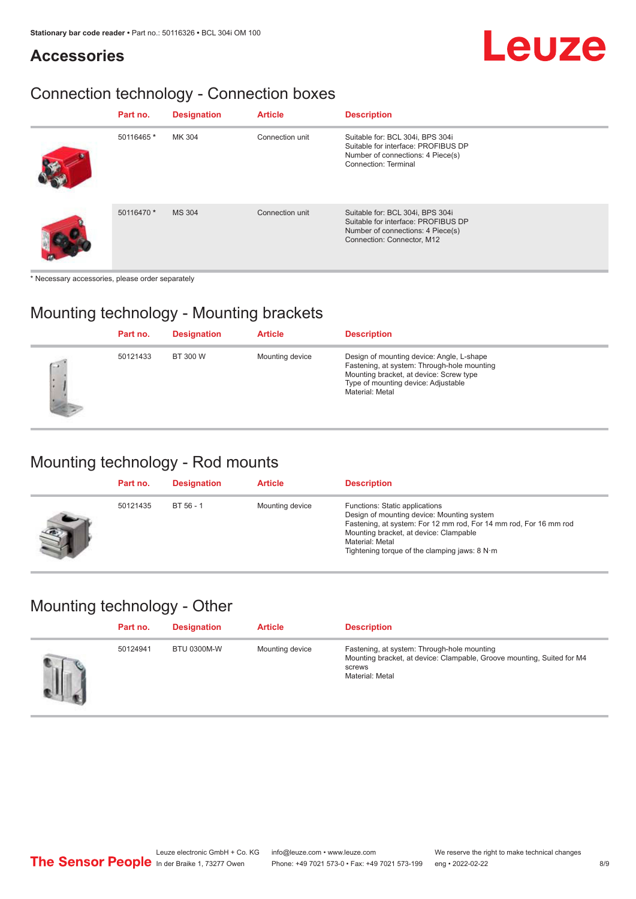### **Accessories**

## Leuze

## Connection technology - Connection boxes

| Part no.   | <b>Designation</b> | <b>Article</b>  | <b>Description</b>                                                                                                                         |
|------------|--------------------|-----------------|--------------------------------------------------------------------------------------------------------------------------------------------|
| 50116465 * | MK 304             | Connection unit | Suitable for: BCL 304i, BPS 304i<br>Suitable for interface: PROFIBUS DP<br>Number of connections: 4 Piece(s)<br>Connection: Terminal       |
| 50116470 * | <b>MS 304</b>      | Connection unit | Suitable for: BCL 304i, BPS 304i<br>Suitable for interface: PROFIBUS DP<br>Number of connections: 4 Piece(s)<br>Connection: Connector, M12 |

\* Necessary accessories, please order separately

### Mounting technology - Mounting brackets

|                            | Part no. | <b>Designation</b> | <b>Article</b>  | <b>Description</b>                                                                                                                                                                            |
|----------------------------|----------|--------------------|-----------------|-----------------------------------------------------------------------------------------------------------------------------------------------------------------------------------------------|
| $\sqrt{2}$<br>ı.<br>٠<br>Þ | 50121433 | BT 300 W           | Mounting device | Design of mounting device: Angle, L-shape<br>Fastening, at system: Through-hole mounting<br>Mounting bracket, at device: Screw type<br>Type of mounting device: Adjustable<br>Material: Metal |

### Mounting technology - Rod mounts

| Part no. | <b>Designation</b> | <b>Article</b>  | <b>Description</b>                                                                                                                                                                                                                                                |
|----------|--------------------|-----------------|-------------------------------------------------------------------------------------------------------------------------------------------------------------------------------------------------------------------------------------------------------------------|
| 50121435 | BT 56 - 1          | Mounting device | Functions: Static applications<br>Design of mounting device: Mounting system<br>Fastening, at system: For 12 mm rod, For 14 mm rod, For 16 mm rod<br>Mounting bracket, at device: Clampable<br>Material: Metal<br>Tightening torque of the clamping jaws: $8 N·m$ |

### Mounting technology - Other

| Part no. | <b>Designation</b> | <b>Article</b>  | <b>Description</b>                                                                                                                                 |
|----------|--------------------|-----------------|----------------------------------------------------------------------------------------------------------------------------------------------------|
| 50124941 | <b>BTU 0300M-W</b> | Mounting device | Fastening, at system: Through-hole mounting<br>Mounting bracket, at device: Clampable, Groove mounting, Suited for M4<br>screws<br>Material: Metal |